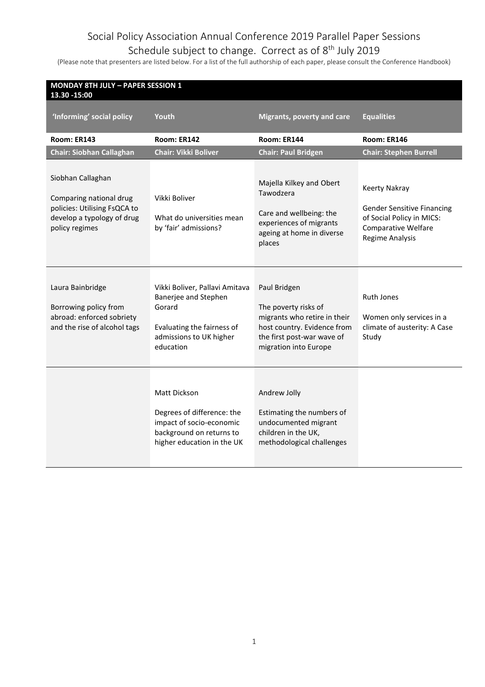#### Schedule subject to change. Correct as of 8<sup>th</sup> July 2019

| <b>MONDAY 8TH JULY - PAPER SESSION 1</b><br>13.30 - 15:00                                                                    |                                                                                                                                        |                                                                                                                                                            |                                                                                                                                         |
|------------------------------------------------------------------------------------------------------------------------------|----------------------------------------------------------------------------------------------------------------------------------------|------------------------------------------------------------------------------------------------------------------------------------------------------------|-----------------------------------------------------------------------------------------------------------------------------------------|
| 'Informing' social policy                                                                                                    | Youth                                                                                                                                  | <b>Migrants, poverty and care</b>                                                                                                                          | <b>Equalities</b>                                                                                                                       |
| Room: ER143                                                                                                                  | Room: ER142                                                                                                                            | Room: ER144                                                                                                                                                | Room: ER146                                                                                                                             |
| <b>Chair: Siobhan Callaghan</b>                                                                                              | <b>Chair: Vikki Boliver</b>                                                                                                            | <b>Chair: Paul Bridgen</b>                                                                                                                                 | <b>Chair: Stephen Burrell</b>                                                                                                           |
| Siobhan Callaghan<br>Comparing national drug<br>policies: Utilising FsQCA to<br>develop a typology of drug<br>policy regimes | Vikki Boliver<br>What do universities mean<br>by 'fair' admissions?                                                                    | Majella Kilkey and Obert<br>Tawodzera<br>Care and wellbeing: the<br>experiences of migrants<br>ageing at home in diverse<br>places                         | Keerty Nakray<br><b>Gender Sensitive Financing</b><br>of Social Policy in MICS:<br><b>Comparative Welfare</b><br><b>Regime Analysis</b> |
| Laura Bainbridge<br>Borrowing policy from<br>abroad: enforced sobriety<br>and the rise of alcohol tags                       | Vikki Boliver, Pallavi Amitava<br>Banerjee and Stephen<br>Gorard<br>Evaluating the fairness of<br>admissions to UK higher<br>education | Paul Bridgen<br>The poverty risks of<br>migrants who retire in their<br>host country. Evidence from<br>the first post-war wave of<br>migration into Europe | <b>Ruth Jones</b><br>Women only services in a<br>climate of austerity: A Case<br>Study                                                  |
|                                                                                                                              | Matt Dickson<br>Degrees of difference: the<br>impact of socio-economic<br>background on returns to<br>higher education in the UK       | Andrew Jolly<br>Estimating the numbers of<br>undocumented migrant<br>children in the UK,<br>methodological challenges                                      |                                                                                                                                         |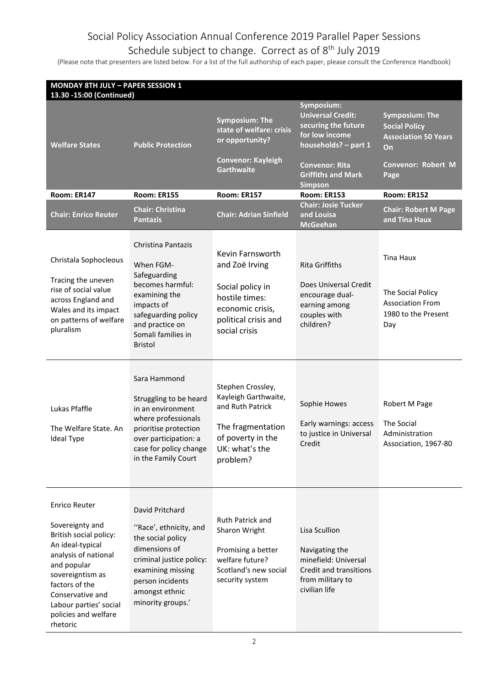#### Schedule subject to change. Correct as of 8<sup>th</sup> July 2019

| <b>MONDAY 8TH JULY - PAPER SESSION 1</b><br>13.30 -15:00 (Continued)                                                                                                                                                                          |                                                                                                                                                                                             |                                                                                                                                       |                                                                                                                                                                                 |                                                                                                                         |
|-----------------------------------------------------------------------------------------------------------------------------------------------------------------------------------------------------------------------------------------------|---------------------------------------------------------------------------------------------------------------------------------------------------------------------------------------------|---------------------------------------------------------------------------------------------------------------------------------------|---------------------------------------------------------------------------------------------------------------------------------------------------------------------------------|-------------------------------------------------------------------------------------------------------------------------|
| <b>Welfare States</b>                                                                                                                                                                                                                         | <b>Public Protection</b>                                                                                                                                                                    | <b>Symposium: The</b><br>state of welfare: crisis<br>or opportunity?<br><b>Convenor: Kayleigh</b><br><b>Garthwaite</b>                | Symposium:<br><b>Universal Credit:</b><br>securing the future<br>for low income<br>households? - part 1<br><b>Convenor: Rita</b><br><b>Griffiths and Mark</b><br><b>Simpson</b> | <b>Symposium: The</b><br><b>Social Policy</b><br><b>Association 50 Years</b><br>On<br><b>Convenor: Robert M</b><br>Page |
| Room: ER147                                                                                                                                                                                                                                   | <b>Room: ER155</b>                                                                                                                                                                          | Room: ER157                                                                                                                           | <b>Room: ER153</b>                                                                                                                                                              | Room: ER152                                                                                                             |
| <b>Chair: Enrico Reuter</b>                                                                                                                                                                                                                   | <b>Chair: Christina</b><br><b>Pantazis</b>                                                                                                                                                  | <b>Chair: Adrian Sinfield</b>                                                                                                         | <b>Chair: Josie Tucker</b><br>and Louisa<br><b>McGeehan</b>                                                                                                                     | <b>Chair: Robert M Page</b><br>and Tina Haux                                                                            |
| Christala Sophocleous<br>Tracing the uneven<br>rise of social value<br>across England and<br>Wales and its impact<br>on patterns of welfare<br>pluralism                                                                                      | Christina Pantazis<br>When FGM-<br>Safeguarding<br>becomes harmful:<br>examining the<br>impacts of<br>safeguarding policy<br>and practice on<br>Somali families in<br><b>Bristol</b>        | Kevin Farnsworth<br>and Zoë Irving<br>Social policy in<br>hostile times:<br>economic crisis,<br>political crisis and<br>social crisis | <b>Rita Griffiths</b><br>Does Universal Credit<br>encourage dual-<br>earning among<br>couples with<br>children?                                                                 | <b>Tina Haux</b><br>The Social Policy<br><b>Association From</b><br>1980 to the Present<br>Day                          |
| Lukas Pfaffle<br>The Welfare State. An<br><b>Ideal Type</b>                                                                                                                                                                                   | Sara Hammond<br>Struggling to be heard<br>in an environment<br>where professionals<br>prioritise protection<br>over participation: a<br>case for policy change<br>in the Family Court       | Stephen Crossley,<br>Kayleigh Garthwaite,<br>and Ruth Patrick<br>The fragmentation<br>of poverty in the<br>UK: what's the<br>problem? | Sophie Howes<br>Early warnings: access<br>to justice in Universal<br>Credit                                                                                                     | Robert M Page<br>The Social<br>Administration<br>Association, 1967-80                                                   |
| Enrico Reuter<br>Sovereignty and<br>British social policy:<br>An ideal-typical<br>analysis of national<br>and popular<br>sovereigntism as<br>factors of the<br>Conservative and<br>Labour parties' social<br>policies and welfare<br>rhetoric | David Pritchard<br>"Race', ethnicity, and<br>the social policy<br>dimensions of<br>criminal justice policy:<br>examining missing<br>person incidents<br>amongst ethnic<br>minority groups.' | Ruth Patrick and<br>Sharon Wright<br>Promising a better<br>welfare future?<br>Scotland's new social<br>security system                | Lisa Scullion<br>Navigating the<br>minefield: Universal<br>Credit and transitions<br>from military to<br>civilian life                                                          |                                                                                                                         |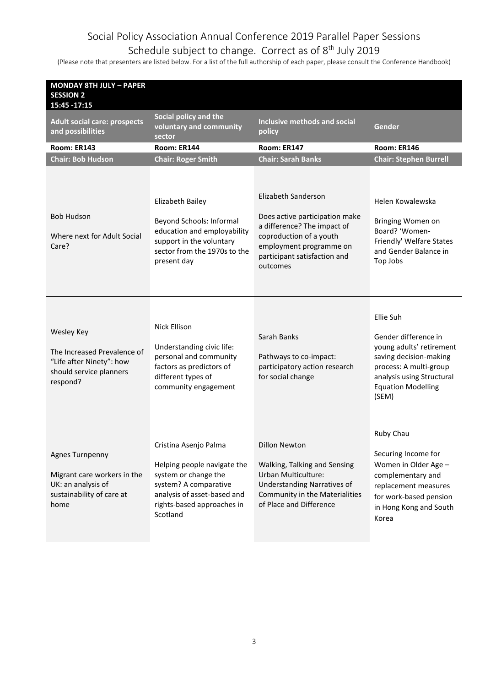#### Schedule subject to change. Correct as of 8<sup>th</sup> July 2019

| <b>MONDAY 8TH JULY - PAPER</b><br><b>SESSION 2</b><br>15:45 - 17:15                                          |                                                                                                                                                                                |                                                                                                                                                                                        |                                                                                                                                                                                      |
|--------------------------------------------------------------------------------------------------------------|--------------------------------------------------------------------------------------------------------------------------------------------------------------------------------|----------------------------------------------------------------------------------------------------------------------------------------------------------------------------------------|--------------------------------------------------------------------------------------------------------------------------------------------------------------------------------------|
| <b>Adult social care: prospects</b><br>and possibilities                                                     | Social policy and the<br>voluntary and community<br>sector                                                                                                                     | Inclusive methods and social<br>policy                                                                                                                                                 | Gender                                                                                                                                                                               |
| Room: ER143                                                                                                  | Room: ER144                                                                                                                                                                    | Room: ER147                                                                                                                                                                            | Room: ER146                                                                                                                                                                          |
| <b>Chair: Bob Hudson</b>                                                                                     | <b>Chair: Roger Smith</b>                                                                                                                                                      | <b>Chair: Sarah Banks</b>                                                                                                                                                              | <b>Chair: Stephen Burrell</b>                                                                                                                                                        |
| <b>Bob Hudson</b><br>Where next for Adult Social<br>Care?                                                    | Elizabeth Bailey<br>Beyond Schools: Informal<br>education and employability<br>support in the voluntary<br>sector from the 1970s to the<br>present day                         | Elizabeth Sanderson<br>Does active participation make<br>a difference? The impact of<br>coproduction of a youth<br>employment programme on<br>participant satisfaction and<br>outcomes | Helen Kowalewska<br>Bringing Women on<br>Board? 'Women-<br>Friendly' Welfare States<br>and Gender Balance in<br>Top Jobs                                                             |
| Wesley Key<br>The Increased Prevalence of<br>"Life after Ninety": how<br>should service planners<br>respond? | Nick Ellison<br>Understanding civic life:<br>personal and community<br>factors as predictors of<br>different types of<br>community engagement                                  | Sarah Banks<br>Pathways to co-impact:<br>participatory action research<br>for social change                                                                                            | Ellie Suh<br>Gender difference in<br>young adults' retirement<br>saving decision-making<br>process: A multi-group<br>analysis using Structural<br><b>Equation Modelling</b><br>(SEM) |
| Agnes Turnpenny<br>Migrant care workers in the<br>UK: an analysis of<br>sustainability of care at<br>home    | Cristina Asenjo Palma<br>Helping people navigate the<br>system or change the<br>system? A comparative<br>analysis of asset-based and<br>rights-based approaches in<br>Scotland | <b>Dillon Newton</b><br>Walking, Talking and Sensing<br><b>Urban Multiculture:</b><br>Understanding Narratives of<br>Community in the Materialities<br>of Place and Difference         | Ruby Chau<br>Securing Income for<br>Women in Older Age -<br>complementary and<br>replacement measures<br>for work-based pension<br>in Hong Kong and South<br>Korea                   |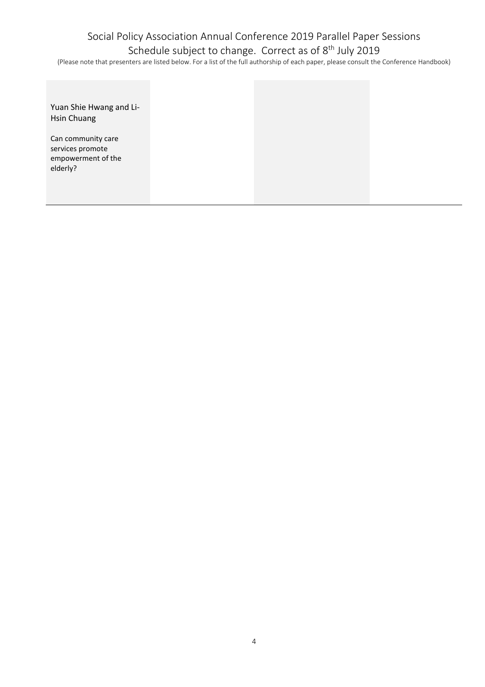### Social Policy Association Annual Conference 2019 Parallel Paper Sessions Schedule subject to change. Correct as of 8<sup>th</sup> July 2019

| Yuan Shie Hwang and Li-<br><b>Hsin Chuang</b>                            |
|--------------------------------------------------------------------------|
| Can community care<br>services promote<br>empowerment of the<br>elderly? |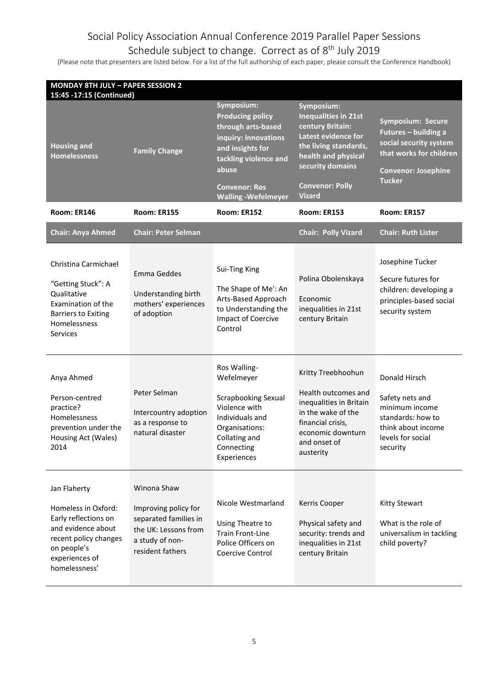#### Schedule subject to change. Correct as of 8<sup>th</sup> July 2019

| <b>MONDAY 8TH JULY - PAPER SESSION 2</b><br>15:45 -17:15 (Continued)                                                                                         |                                                                                                                             |                                                                                                                                                                                                 |                                                                                                                                                                                                     |                                                                                                                                                      |
|--------------------------------------------------------------------------------------------------------------------------------------------------------------|-----------------------------------------------------------------------------------------------------------------------------|-------------------------------------------------------------------------------------------------------------------------------------------------------------------------------------------------|-----------------------------------------------------------------------------------------------------------------------------------------------------------------------------------------------------|------------------------------------------------------------------------------------------------------------------------------------------------------|
| <b>Housing and</b><br><b>Homelessness</b>                                                                                                                    | <b>Family Change</b>                                                                                                        | Symposium:<br><b>Producing policy</b><br>through arts-based<br>inquiry: innovations<br>and insights for<br>tackling violence and<br>abuse<br><b>Convenor: Ros</b><br><b>Walling -Wefelmeyer</b> | Symposium:<br><b>Inequalities in 21st</b><br>century Britain:<br>Latest evidence for<br>the living standards,<br>health and physical<br>security domains<br><b>Convenor: Polly</b><br><b>Vizard</b> | <b>Symposium: Secure</b><br>Futures - building a<br>social security system<br>that works for children<br><b>Convenor: Josephine</b><br><b>Tucker</b> |
| Room: ER146                                                                                                                                                  | Room: ER155                                                                                                                 | Room: ER152                                                                                                                                                                                     | Room: ER153                                                                                                                                                                                         | Room: ER157                                                                                                                                          |
| <b>Chair: Anya Ahmed</b>                                                                                                                                     | <b>Chair: Peter Selman</b>                                                                                                  |                                                                                                                                                                                                 | <b>Chair: Polly Vizard</b>                                                                                                                                                                          | <b>Chair: Ruth Lister</b>                                                                                                                            |
| Christina Carmichael<br>"Getting Stuck": A<br>Qualitative<br>Examination of the<br><b>Barriers to Exiting</b><br>Homelessness<br><b>Services</b>             | Emma Geddes<br>Understanding birth<br>mothers' experiences<br>of adoption                                                   | Sui-Ting King<br>The Shape of Me': An<br>Arts-Based Approach<br>to Understanding the<br>Impact of Coercive<br>Control                                                                           | Polina Obolenskaya<br>Economic<br>inequalities in 21st<br>century Britain                                                                                                                           | Josephine Tucker<br>Secure futures for<br>children: developing a<br>principles-based social<br>security system                                       |
| Anya Ahmed<br>Person-centred<br>practice?<br>Homelessness<br>prevention under the<br>Housing Act (Wales)<br>2014                                             | Peter Selman<br>Intercountry adoption<br>as a response to<br>natural disaster                                               | Ros Walling-<br>Wefelmeyer<br><b>Scrapbooking Sexual</b><br>Violence with<br>Individuals and<br>Organisations:<br>Collating and<br>Connecting<br>Experiences                                    | Kritty Treebhoohun<br>Health outcomes and<br>inequalities in Britain<br>in the wake of the<br>financial crisis,<br>economic downturn<br>and onset of<br>austerity                                   | Donald Hirsch<br>Safety nets and<br>minimum income<br>standards: how to<br>think about income<br>levels for social<br>security                       |
| Jan Flaherty<br>Homeless in Oxford:<br>Early reflections on<br>and evidence about<br>recent policy changes<br>on people's<br>experiences of<br>homelessness' | Winona Shaw<br>Improving policy for<br>separated families in<br>the UK: Lessons from<br>a study of non-<br>resident fathers | Nicole Westmarland<br>Using Theatre to<br><b>Train Front-Line</b><br>Police Officers on<br>Coercive Control                                                                                     | Kerris Cooper<br>Physical safety and<br>security: trends and<br>inequalities in 21st<br>century Britain                                                                                             | <b>Kitty Stewart</b><br>What is the role of<br>universalism in tackling<br>child poverty?                                                            |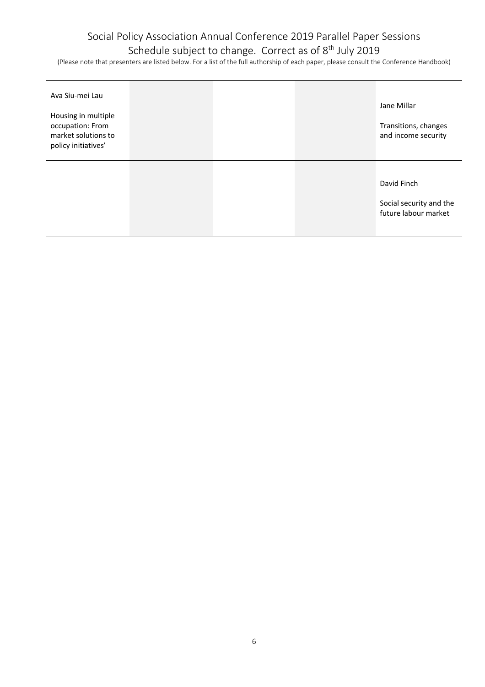#### Schedule subject to change. Correct as of 8<sup>th</sup> July 2019

| Ava Siu-mei Lau<br>Housing in multiple<br>occupation: From<br>market solutions to<br>policy initiatives' |  | Jane Millar<br>Transitions, changes<br>and income security     |
|----------------------------------------------------------------------------------------------------------|--|----------------------------------------------------------------|
|                                                                                                          |  | David Finch<br>Social security and the<br>future labour market |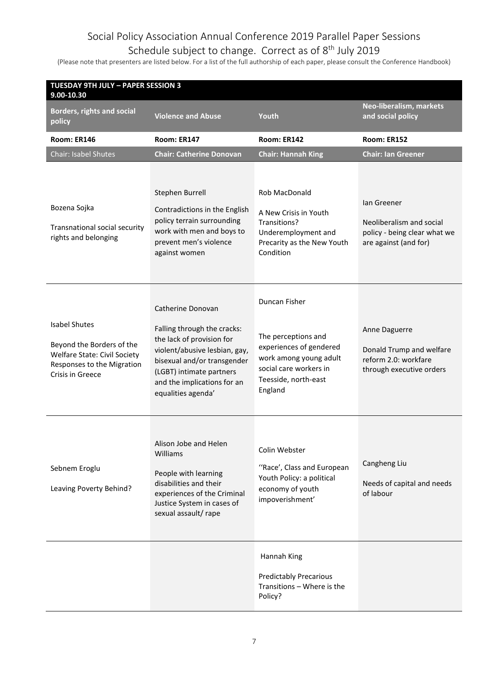### Schedule subject to change. Correct as of 8<sup>th</sup> July 2019

| <b>TUESDAY 9TH JULY - PAPER SESSION 3</b><br>$9.00 - 10.30$                                                                         |                                                                                                                                                                                                                                |                                                                                                                                                        |                                                                                                  |
|-------------------------------------------------------------------------------------------------------------------------------------|--------------------------------------------------------------------------------------------------------------------------------------------------------------------------------------------------------------------------------|--------------------------------------------------------------------------------------------------------------------------------------------------------|--------------------------------------------------------------------------------------------------|
| <b>Borders, rights and social</b><br>policy                                                                                         | <b>Violence and Abuse</b>                                                                                                                                                                                                      | Youth                                                                                                                                                  | Neo-liberalism, markets<br>and social policy                                                     |
| Room: ER146                                                                                                                         | Room: ER147                                                                                                                                                                                                                    | Room: ER142                                                                                                                                            | Room: ER152                                                                                      |
| Chair: Isabel Shutes                                                                                                                | <b>Chair: Catherine Donovan</b>                                                                                                                                                                                                | <b>Chair: Hannah King</b>                                                                                                                              | <b>Chair: Ian Greener</b>                                                                        |
| Bozena Sojka<br>Transnational social security<br>rights and belonging                                                               | Stephen Burrell<br>Contradictions in the English<br>policy terrain surrounding<br>work with men and boys to<br>prevent men's violence<br>against women                                                                         | <b>Rob MacDonald</b><br>A New Crisis in Youth<br>Transitions?<br>Underemployment and<br>Precarity as the New Youth<br>Condition                        | lan Greener<br>Neoliberalism and social<br>policy - being clear what we<br>are against (and for) |
| <b>Isabel Shutes</b><br>Beyond the Borders of the<br>Welfare State: Civil Society<br>Responses to the Migration<br>Crisis in Greece | Catherine Donovan<br>Falling through the cracks:<br>the lack of provision for<br>violent/abusive lesbian, gay,<br>bisexual and/or transgender<br>(LGBT) intimate partners<br>and the implications for an<br>equalities agenda' | Duncan Fisher<br>The perceptions and<br>experiences of gendered<br>work among young adult<br>social care workers in<br>Teesside, north-east<br>England | Anne Daguerre<br>Donald Trump and welfare<br>reform 2.0: workfare<br>through executive orders    |
| Sebnem Eroglu<br>Leaving Poverty Behind?                                                                                            | Alison Jobe and Helen<br>Williams<br>People with learning<br>disabilities and their<br>experiences of the Criminal<br>Justice System in cases of<br>sexual assault/ rape                                                       | Colin Webster<br>"Race', Class and European<br>Youth Policy: a political<br>economy of youth<br>impoverishment'                                        | Cangheng Liu<br>Needs of capital and needs<br>of labour                                          |
|                                                                                                                                     |                                                                                                                                                                                                                                | Hannah King<br><b>Predictably Precarious</b><br>Transitions - Where is the<br>Policy?                                                                  |                                                                                                  |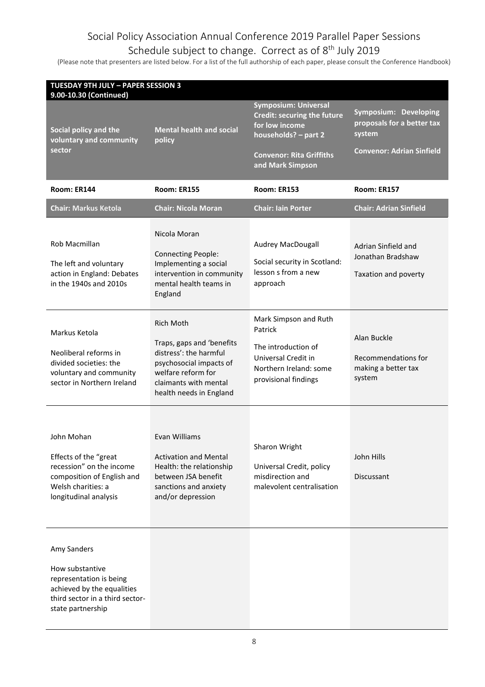#### Schedule subject to change. Correct as of 8<sup>th</sup> July 2019

| <b>TUESDAY 9TH JULY - PAPER SESSION 3</b><br>9.00-10.30 (Continued)                                                                             |                                                                                                                                                                              |                                                                                                                                  |                                                                     |
|-------------------------------------------------------------------------------------------------------------------------------------------------|------------------------------------------------------------------------------------------------------------------------------------------------------------------------------|----------------------------------------------------------------------------------------------------------------------------------|---------------------------------------------------------------------|
| Social policy and the<br>voluntary and community                                                                                                | <b>Mental health and social</b><br>policy                                                                                                                                    | <b>Symposium: Universal</b><br>Credit: securing the future<br>for low income<br>households? - part 2                             | Symposium: Developing<br>proposals for a better tax<br>system       |
| sector                                                                                                                                          |                                                                                                                                                                              | <b>Convenor: Rita Griffiths</b><br>and Mark Simpson                                                                              | <b>Convenor: Adrian Sinfield</b>                                    |
| Room: ER144                                                                                                                                     | <b>Room: ER155</b>                                                                                                                                                           | <b>Room: ER153</b>                                                                                                               | Room: ER157                                                         |
| <b>Chair: Markus Ketola</b>                                                                                                                     | <b>Chair: Nicola Moran</b>                                                                                                                                                   | <b>Chair: Iain Porter</b>                                                                                                        | <b>Chair: Adrian Sinfield</b>                                       |
| Rob Macmillan<br>The left and voluntary<br>action in England: Debates<br>in the 1940s and 2010s                                                 | Nicola Moran<br><b>Connecting People:</b><br>Implementing a social<br>intervention in community<br>mental health teams in<br>England                                         | Audrey MacDougall<br>Social security in Scotland:<br>lesson s from a new<br>approach                                             | Adrian Sinfield and<br>Jonathan Bradshaw<br>Taxation and poverty    |
| Markus Ketola<br>Neoliberal reforms in<br>divided societies: the<br>voluntary and community<br>sector in Northern Ireland                       | <b>Rich Moth</b><br>Traps, gaps and 'benefits<br>distress': the harmful<br>psychosocial impacts of<br>welfare reform for<br>claimants with mental<br>health needs in England | Mark Simpson and Ruth<br>Patrick<br>The introduction of<br>Universal Credit in<br>Northern Ireland: some<br>provisional findings | Alan Buckle<br>Recommendations for<br>making a better tax<br>system |
| John Mohan<br>Effects of the "great<br>recession" on the income<br>composition of English and<br>Welsh charities: a<br>longitudinal analysis    | Evan Williams<br><b>Activation and Mental</b><br>Health: the relationship<br>between JSA benefit<br>sanctions and anxiety<br>and/or depression                               | Sharon Wright<br>Universal Credit, policy<br>misdirection and<br>malevolent centralisation                                       | John Hills<br>Discussant                                            |
| Amy Sanders<br>How substantive<br>representation is being<br>achieved by the equalities<br>third sector in a third sector-<br>state partnership |                                                                                                                                                                              |                                                                                                                                  |                                                                     |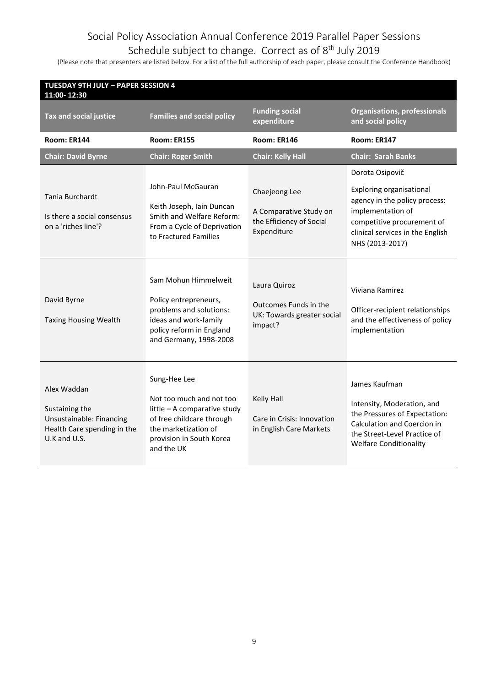#### Schedule subject to change. Correct as of 8<sup>th</sup> July 2019

| <b>TUESDAY 9TH JULY - PAPER SESSION 4</b><br>11:00-12:30                                                 |                                                                                                                                                                         |                                                                                    |                                                                                                                                                                                        |  |
|----------------------------------------------------------------------------------------------------------|-------------------------------------------------------------------------------------------------------------------------------------------------------------------------|------------------------------------------------------------------------------------|----------------------------------------------------------------------------------------------------------------------------------------------------------------------------------------|--|
| <b>Tax and social justice</b>                                                                            | <b>Families and social policy</b>                                                                                                                                       | <b>Funding social</b><br>expenditure                                               | <b>Organisations, professionals</b><br>and social policy                                                                                                                               |  |
| Room: ER144                                                                                              | <b>Room: ER155</b>                                                                                                                                                      | Room: ER146                                                                        | Room: ER147                                                                                                                                                                            |  |
| <b>Chair: David Byrne</b>                                                                                | <b>Chair: Roger Smith</b>                                                                                                                                               | <b>Chair: Kelly Hall</b>                                                           | <b>Chair: Sarah Banks</b>                                                                                                                                                              |  |
| Tania Burchardt<br>Is there a social consensus<br>on a 'riches line'?                                    | John-Paul McGauran<br>Keith Joseph, Iain Duncan<br>Smith and Welfare Reform:<br>From a Cycle of Deprivation<br>to Fractured Families                                    | Chaejeong Lee<br>A Comparative Study on<br>the Efficiency of Social<br>Expenditure | Dorota Osipovič<br>Exploring organisational<br>agency in the policy process:<br>implementation of<br>competitive procurement of<br>clinical services in the English<br>NHS (2013-2017) |  |
| David Byrne<br><b>Taxing Housing Wealth</b>                                                              | Sam Mohun Himmelweit<br>Policy entrepreneurs,<br>problems and solutions:<br>ideas and work-family<br>policy reform in England<br>and Germany, 1998-2008                 | Laura Quiroz<br>Outcomes Funds in the<br>UK: Towards greater social<br>impact?     | Viviana Ramirez<br>Officer-recipient relationships<br>and the effectiveness of policy<br>implementation                                                                                |  |
| Alex Waddan<br>Sustaining the<br>Unsustainable: Financing<br>Health Care spending in the<br>U.K and U.S. | Sung-Hee Lee<br>Not too much and not too<br>little - A comparative study<br>of free childcare through<br>the marketization of<br>provision in South Korea<br>and the UK | Kelly Hall<br>Care in Crisis: Innovation<br>in English Care Markets                | James Kaufman<br>Intensity, Moderation, and<br>the Pressures of Expectation:<br>Calculation and Coercion in<br>the Street-Level Practice of<br><b>Welfare Conditionality</b>           |  |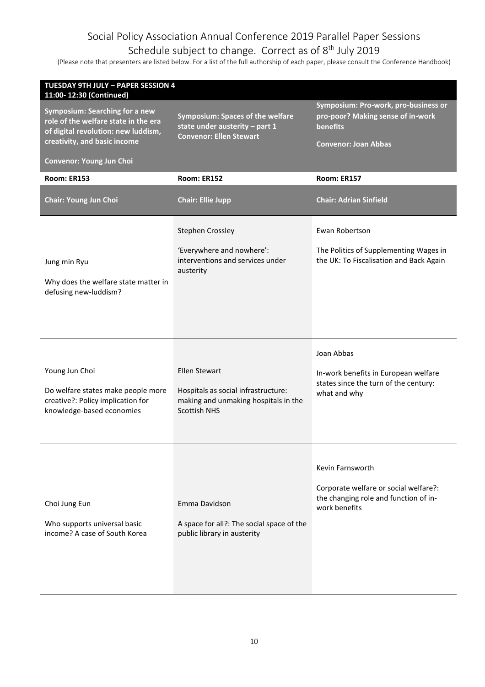#### Schedule subject to change. Correct as of 8<sup>th</sup> July 2019

| <b>TUESDAY 9TH JULY - PAPER SESSION 4</b><br>11:00-12:30 (Continued)                                                                                 |                                                                                                                            |                                                                                                                             |
|------------------------------------------------------------------------------------------------------------------------------------------------------|----------------------------------------------------------------------------------------------------------------------------|-----------------------------------------------------------------------------------------------------------------------------|
| <b>Symposium: Searching for a new</b><br>role of the welfare state in the era<br>of digital revolution: new luddism,<br>creativity, and basic income | <b>Symposium: Spaces of the welfare</b><br>state under austerity - part 1<br><b>Convenor: Ellen Stewart</b>                | Symposium: Pro-work, pro-business or<br>pro-poor? Making sense of in-work<br><b>benefits</b><br><b>Convenor: Joan Abbas</b> |
| Convenor: Young Jun Choi                                                                                                                             |                                                                                                                            |                                                                                                                             |
| <b>Room: ER153</b>                                                                                                                                   | <b>Room: ER152</b>                                                                                                         | <b>Room: ER157</b>                                                                                                          |
| <b>Chair: Young Jun Choi</b>                                                                                                                         | <b>Chair: Ellie Jupp</b>                                                                                                   | <b>Chair: Adrian Sinfield</b>                                                                                               |
|                                                                                                                                                      | Stephen Crossley                                                                                                           | Ewan Robertson                                                                                                              |
| Jung min Ryu<br>Why does the welfare state matter in<br>defusing new-luddism?                                                                        | 'Everywhere and nowhere':<br>interventions and services under<br>austerity                                                 | The Politics of Supplementing Wages in<br>the UK: To Fiscalisation and Back Again                                           |
| Young Jun Choi<br>Do welfare states make people more<br>creative?: Policy implication for<br>knowledge-based economies                               | <b>Ellen Stewart</b><br>Hospitals as social infrastructure:<br>making and unmaking hospitals in the<br><b>Scottish NHS</b> | Joan Abbas<br>In-work benefits in European welfare<br>states since the turn of the century:<br>what and why                 |
| Choi Jung Eun<br>Who supports universal basic<br>income? A case of South Korea                                                                       | Emma Davidson<br>A space for all?: The social space of the<br>public library in austerity                                  | Kevin Farnsworth<br>Corporate welfare or social welfare?:<br>the changing role and function of in-<br>work benefits         |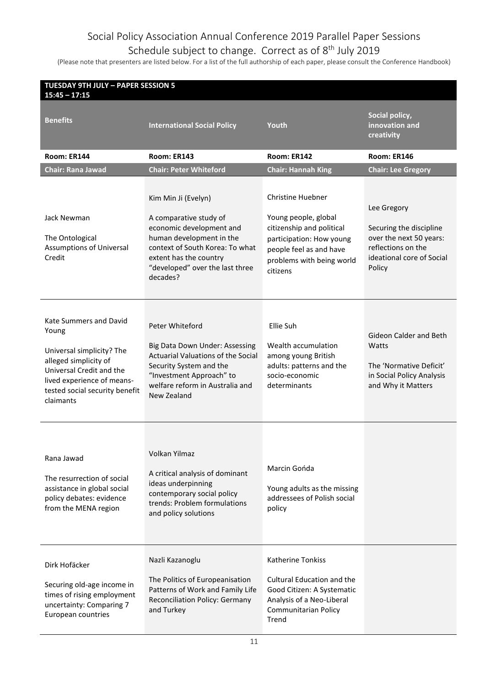#### Schedule subject to change. Correct as of 8<sup>th</sup> July 2019

| <b>TUESDAY 9TH JULY - PAPER SESSION 5</b><br>$15:45 - 17:15$                                                                                                                                   |                                                                                                                                                                                                                   |                                                                                                                                                                               |                                                                                                                                |
|------------------------------------------------------------------------------------------------------------------------------------------------------------------------------------------------|-------------------------------------------------------------------------------------------------------------------------------------------------------------------------------------------------------------------|-------------------------------------------------------------------------------------------------------------------------------------------------------------------------------|--------------------------------------------------------------------------------------------------------------------------------|
| Benefits                                                                                                                                                                                       | <b>International Social Policy</b>                                                                                                                                                                                | Youth                                                                                                                                                                         | Social policy,<br>innovation and<br>creativity                                                                                 |
| Room: ER144                                                                                                                                                                                    | Room: ER143                                                                                                                                                                                                       | Room: ER142                                                                                                                                                                   | Room: ER146                                                                                                                    |
| <b>Chair: Rana Jawad</b>                                                                                                                                                                       | <b>Chair: Peter Whiteford</b>                                                                                                                                                                                     | <b>Chair: Hannah King</b>                                                                                                                                                     | <b>Chair: Lee Gregory</b>                                                                                                      |
| Jack Newman<br>The Ontological<br>Assumptions of Universal<br>Credit                                                                                                                           | Kim Min Ji (Evelyn)<br>A comparative study of<br>economic development and<br>human development in the<br>context of South Korea: To what<br>extent has the country<br>"developed" over the last three<br>decades? | <b>Christine Huebner</b><br>Young people, global<br>citizenship and political<br>participation: How young<br>people feel as and have<br>problems with being world<br>citizens | Lee Gregory<br>Securing the discipline<br>over the next 50 years:<br>reflections on the<br>ideational core of Social<br>Policy |
| Kate Summers and David<br>Young<br>Universal simplicity? The<br>alleged simplicity of<br>Universal Credit and the<br>lived experience of means-<br>tested social security benefit<br>claimants | Peter Whiteford<br>Big Data Down Under: Assessing<br>Actuarial Valuations of the Social<br>Security System and the<br>"Investment Approach" to<br>welfare reform in Australia and<br>New Zealand                  | Ellie Suh<br>Wealth accumulation<br>among young British<br>adults: patterns and the<br>socio-economic<br>determinants                                                         | Gideon Calder and Beth<br>Watts<br>The 'Normative Deficit'<br>in Social Policy Analysis<br>and Why it Matters                  |
| Rana Jawad<br>The resurrection of social<br>assistance in global social<br>policy debates: evidence<br>from the MENA region                                                                    | Volkan Yilmaz<br>A critical analysis of dominant<br>ideas underpinning<br>contemporary social policy<br>trends: Problem formulations<br>and policy solutions                                                      | Marcin Gońda<br>Young adults as the missing<br>addressees of Polish social<br>policy                                                                                          |                                                                                                                                |
| Dirk Hofäcker<br>Securing old-age income in<br>times of rising employment<br>uncertainty: Comparing 7<br>European countries                                                                    | Nazli Kazanoglu<br>The Politics of Europeanisation<br>Patterns of Work and Family Life<br>Reconciliation Policy: Germany<br>and Turkey                                                                            | <b>Katherine Tonkiss</b><br>Cultural Education and the<br>Good Citizen: A Systematic<br>Analysis of a Neo-Liberal<br>Communitarian Policy<br>Trend                            |                                                                                                                                |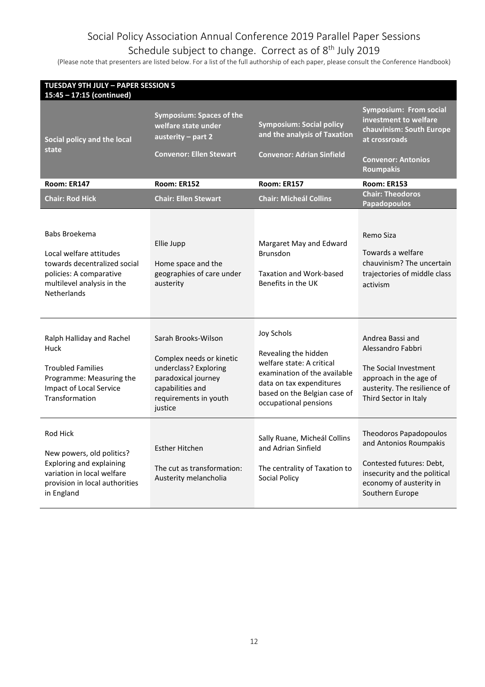### Schedule subject to change. Correct as of 8<sup>th</sup> July 2019

| <b>TUESDAY 9TH JULY - PAPER SESSION 5</b><br>15:45 - 17:15 (continued)                                                                                  |                                                                                                                                                                                             |                                                                                                                                                                   |  |  |
|---------------------------------------------------------------------------------------------------------------------------------------------------------|---------------------------------------------------------------------------------------------------------------------------------------------------------------------------------------------|-------------------------------------------------------------------------------------------------------------------------------------------------------------------|--|--|
| Symposium: Spaces of the<br>welfare state under<br>austerity - part 2<br><b>Convenor: Ellen Stewart</b>                                                 | <b>Symposium: Social policy</b><br>and the analysis of Taxation<br><b>Convenor: Adrian Sinfield</b>                                                                                         | <b>Symposium: From social</b><br>investment to welfare<br>chauvinism: South Europe<br>at crossroads<br><b>Convenor: Antonios</b><br><b>Roumpakis</b>              |  |  |
| Room: ER152                                                                                                                                             | <b>Room: ER157</b>                                                                                                                                                                          | <b>Room: ER153</b>                                                                                                                                                |  |  |
| <b>Chair: Ellen Stewart</b>                                                                                                                             | <b>Chair: Micheál Collins</b>                                                                                                                                                               | <b>Chair: Theodoros</b><br><b>Papadopoulos</b>                                                                                                                    |  |  |
| Ellie Jupp<br>Home space and the<br>geographies of care under<br>austerity                                                                              | Margaret May and Edward<br><b>Brunsdon</b><br><b>Taxation and Work-based</b><br>Benefits in the UK                                                                                          | Remo Siza<br>Towards a welfare<br>chauvinism? The uncertain<br>trajectories of middle class<br>activism                                                           |  |  |
| Sarah Brooks-Wilson<br>Complex needs or kinetic<br>underclass? Exploring<br>paradoxical journey<br>capabilities and<br>requirements in youth<br>justice | <b>Joy Schols</b><br>Revealing the hidden<br>welfare state: A critical<br>examination of the available<br>data on tax expenditures<br>based on the Belgian case of<br>occupational pensions | Andrea Bassi and<br>Alessandro Fabbri<br>The Social Investment<br>approach in the age of<br>austerity. The resilience of<br>Third Sector in Italy                 |  |  |
| <b>Esther Hitchen</b><br>The cut as transformation:<br>Austerity melancholia                                                                            | Sally Ruane, Micheál Collins<br>and Adrian Sinfield<br>The centrality of Taxation to<br><b>Social Policy</b>                                                                                | <b>Theodoros Papadopoulos</b><br>and Antonios Roumpakis<br>Contested futures: Debt,<br>insecurity and the political<br>economy of austerity in<br>Southern Europe |  |  |
|                                                                                                                                                         |                                                                                                                                                                                             |                                                                                                                                                                   |  |  |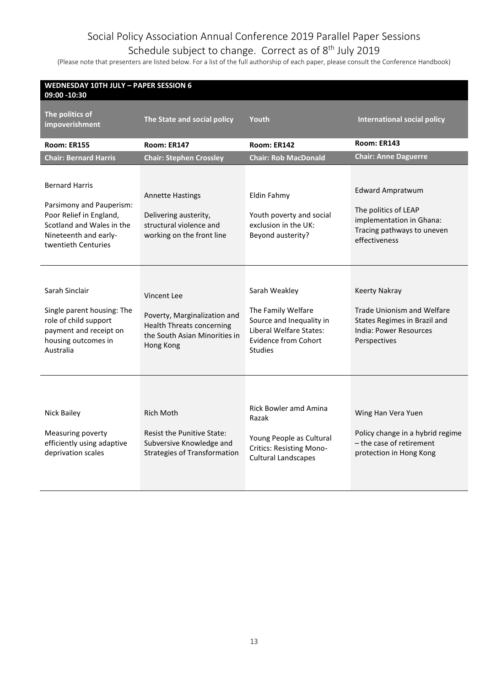### Schedule subject to change. Correct as of 8<sup>th</sup> July 2019

| <b>WEDNESDAY 10TH JULY - PAPER SESSION 6</b><br>09:00 -10:30                                                                                              |                                                                                                                                      |                                                                                                                                             |                                                                                                                              |  |  |
|-----------------------------------------------------------------------------------------------------------------------------------------------------------|--------------------------------------------------------------------------------------------------------------------------------------|---------------------------------------------------------------------------------------------------------------------------------------------|------------------------------------------------------------------------------------------------------------------------------|--|--|
| The politics of<br>impoverishment                                                                                                                         | The State and social policy                                                                                                          | Youth                                                                                                                                       | <b>International social policy</b>                                                                                           |  |  |
| <b>Room: ER155</b>                                                                                                                                        | Room: ER147                                                                                                                          | Room: ER142                                                                                                                                 | <b>Room: ER143</b>                                                                                                           |  |  |
| <b>Chair: Bernard Harris</b>                                                                                                                              | <b>Chair: Stephen Crossley</b>                                                                                                       | <b>Chair: Rob MacDonald</b>                                                                                                                 | <b>Chair: Anne Daguerre</b>                                                                                                  |  |  |
| <b>Bernard Harris</b><br>Parsimony and Pauperism:<br>Poor Relief in England,<br>Scotland and Wales in the<br>Nineteenth and early-<br>twentieth Centuries | <b>Annette Hastings</b><br>Delivering austerity,<br>structural violence and<br>working on the front line                             | Eldin Fahmy<br>Youth poverty and social<br>exclusion in the UK:<br>Beyond austerity?                                                        | <b>Edward Ampratwum</b><br>The politics of LEAP<br>implementation in Ghana:<br>Tracing pathways to uneven<br>effectiveness   |  |  |
| Sarah Sinclair<br>Single parent housing: The<br>role of child support<br>payment and receipt on<br>housing outcomes in<br>Australia                       | <b>Vincent Lee</b><br>Poverty, Marginalization and<br><b>Health Threats concerning</b><br>the South Asian Minorities in<br>Hong Kong | Sarah Weakley<br>The Family Welfare<br>Source and Inequality in<br>Liberal Welfare States:<br><b>Evidence from Cohort</b><br><b>Studies</b> | <b>Keerty Nakray</b><br>Trade Unionism and Welfare<br>States Regimes in Brazil and<br>India: Power Resources<br>Perspectives |  |  |
| Nick Bailey<br>Measuring poverty<br>efficiently using adaptive<br>deprivation scales                                                                      | <b>Rich Moth</b><br><b>Resist the Punitive State:</b><br>Subversive Knowledge and<br><b>Strategies of Transformation</b>             | <b>Rick Bowler amd Amina</b><br>Razak<br>Young People as Cultural<br><b>Critics: Resisting Mono-</b><br><b>Cultural Landscapes</b>          | Wing Han Vera Yuen<br>Policy change in a hybrid regime<br>- the case of retirement<br>protection in Hong Kong                |  |  |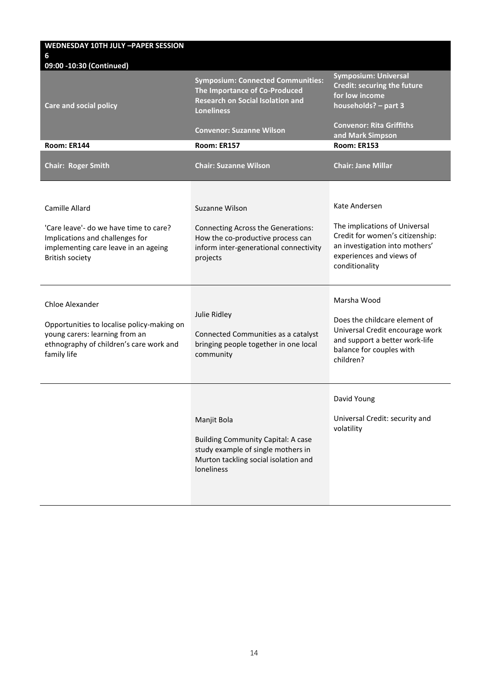| <b>WEDNESDAY 10TH JULY -PAPER SESSION</b>                                                                                                                     |                                                                                                                                                      |                                                                                                                                                                   |
|---------------------------------------------------------------------------------------------------------------------------------------------------------------|------------------------------------------------------------------------------------------------------------------------------------------------------|-------------------------------------------------------------------------------------------------------------------------------------------------------------------|
| 6                                                                                                                                                             |                                                                                                                                                      |                                                                                                                                                                   |
| 09:00 -10:30 (Continued)<br><b>Care and social policy</b>                                                                                                     | <b>Symposium: Connected Communities:</b><br>The Importance of Co-Produced<br><b>Research on Social Isolation and</b><br><b>Loneliness</b>            | <b>Symposium: Universal</b><br><b>Credit: securing the future</b><br>for low income<br>households? - part 3<br><b>Convenor: Rita Griffiths</b>                    |
|                                                                                                                                                               | <b>Convenor: Suzanne Wilson</b>                                                                                                                      | and Mark Simpson                                                                                                                                                  |
| Room: ER144                                                                                                                                                   | <b>Room: ER157</b>                                                                                                                                   | Room: ER153                                                                                                                                                       |
| <b>Chair: Roger Smith</b>                                                                                                                                     | <b>Chair: Suzanne Wilson</b>                                                                                                                         | <b>Chair: Jane Millar</b>                                                                                                                                         |
| Camille Allard<br>'Care leave'- do we have time to care?<br>Implications and challenges for<br>implementing care leave in an ageing<br><b>British society</b> | Suzanne Wilson<br>Connecting Across the Generations:<br>How the co-productive process can<br>inform inter-generational connectivity<br>projects      | Kate Andersen<br>The implications of Universal<br>Credit for women's citizenship:<br>an investigation into mothers'<br>experiences and views of<br>conditionality |
| Chloe Alexander<br>Opportunities to localise policy-making on<br>young carers: learning from an<br>ethnography of children's care work and<br>family life     | Julie Ridley<br>Connected Communities as a catalyst<br>bringing people together in one local<br>community                                            | Marsha Wood<br>Does the childcare element of<br>Universal Credit encourage work<br>and support a better work-life<br>balance for couples with<br>children?        |
|                                                                                                                                                               | Manjit Bola<br><b>Building Community Capital: A case</b><br>study example of single mothers in<br>Murton tackling social isolation and<br>loneliness | David Young<br>Universal Credit: security and<br>volatility                                                                                                       |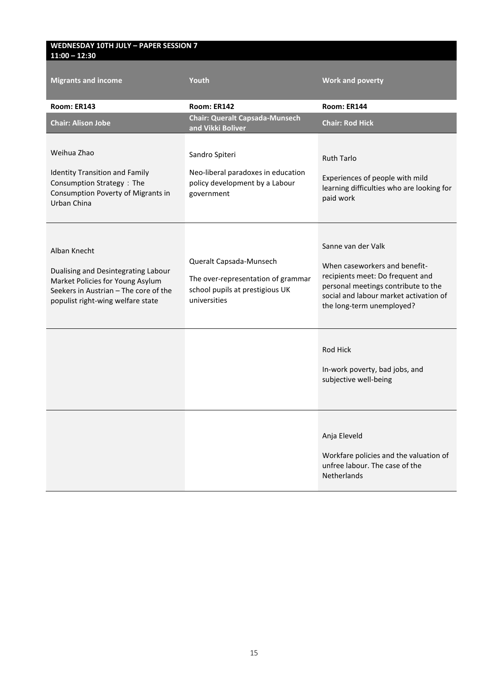#### **WEDNESDAY 10TH JULY – PAPER SESSION 7 11:00 – 12:30**

| <b>Migrants and income</b>                                                                                                                                            | Youth                                                                                                            | <b>Work and poverty</b>                                                                                                                                                                               |  |
|-----------------------------------------------------------------------------------------------------------------------------------------------------------------------|------------------------------------------------------------------------------------------------------------------|-------------------------------------------------------------------------------------------------------------------------------------------------------------------------------------------------------|--|
| Room: ER143                                                                                                                                                           | Room: ER142                                                                                                      | Room: ER144                                                                                                                                                                                           |  |
| <b>Chair: Alison Jobe</b>                                                                                                                                             | <b>Chair: Queralt Capsada-Munsech</b><br>and Vikki Boliver                                                       | <b>Chair: Rod Hick</b>                                                                                                                                                                                |  |
| Weihua Zhao<br><b>Identity Transition and Family</b><br>Consumption Strategy: The<br>Consumption Poverty of Migrants in<br>Urban China                                | Sandro Spiteri<br>Neo-liberal paradoxes in education<br>policy development by a Labour<br>government             | <b>Ruth Tarlo</b><br>Experiences of people with mild<br>learning difficulties who are looking for<br>paid work                                                                                        |  |
| Alban Knecht<br>Dualising and Desintegrating Labour<br>Market Policies for Young Asylum<br>Seekers in Austrian - The core of the<br>populist right-wing welfare state | Queralt Capsada-Munsech<br>The over-representation of grammar<br>school pupils at prestigious UK<br>universities | Sanne van der Valk<br>When caseworkers and benefit-<br>recipients meet: Do frequent and<br>personal meetings contribute to the<br>social and labour market activation of<br>the long-term unemployed? |  |
|                                                                                                                                                                       |                                                                                                                  | Rod Hick<br>In-work poverty, bad jobs, and<br>subjective well-being                                                                                                                                   |  |
|                                                                                                                                                                       |                                                                                                                  | Anja Eleveld<br>Workfare policies and the valuation of<br>unfree labour. The case of the<br><b>Netherlands</b>                                                                                        |  |